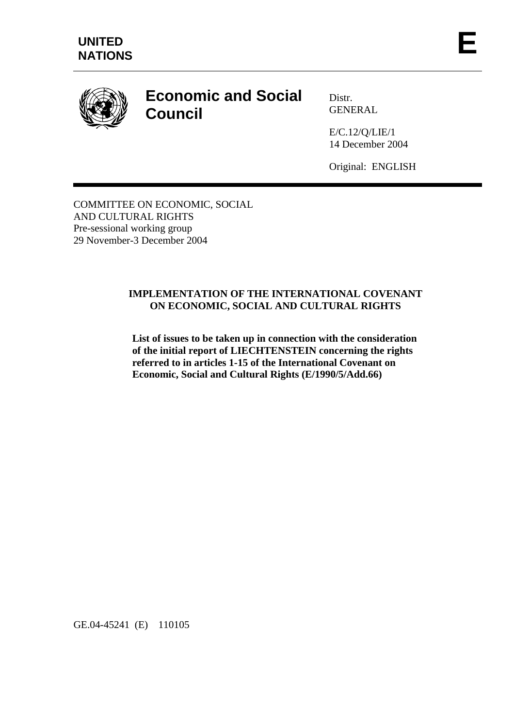

# **Economic and Social Council**

Distr. GENERAL

E/C.12/Q/LIE/1 14 December 2004

Original: ENGLISH

COMMITTEE ON ECONOMIC, SOCIAL AND CULTURAL RIGHTS Pre-sessional working group 29 November-3 December 2004

# **IMPLEMENTATION OF THE INTERNATIONAL COVENANT ON ECONOMIC, SOCIAL AND CULTURAL RIGHTS**

**List of issues to be taken up in connection with the consideration of the initial report of LIECHTENSTEIN concerning the rights referred to in articles 1-15 of the International Covenant on Economic, Social and Cultural Rights (E/1990/5/Add.66)** 

GE.04-45241 (E) 110105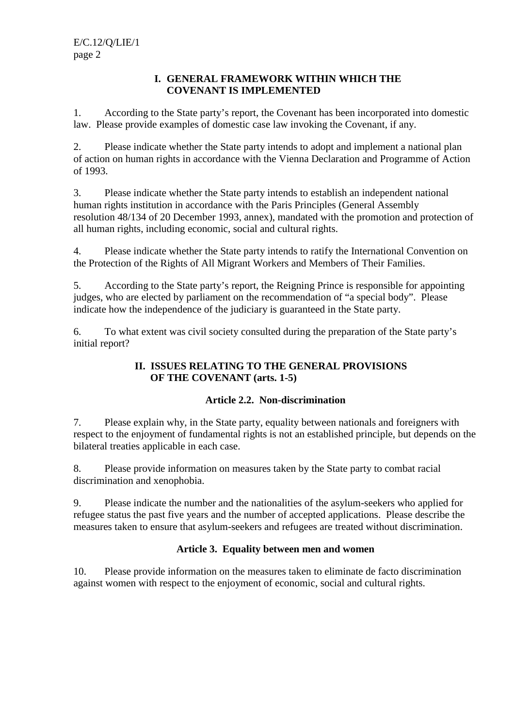#### **I. GENERAL FRAMEWORK WITHIN WHICH THE COVENANT IS IMPLEMENTED**

1. According to the State party's report, the Covenant has been incorporated into domestic law. Please provide examples of domestic case law invoking the Covenant, if any.

2. Please indicate whether the State party intends to adopt and implement a national plan of action on human rights in accordance with the Vienna Declaration and Programme of Action of 1993.

3. Please indicate whether the State party intends to establish an independent national human rights institution in accordance with the Paris Principles (General Assembly resolution 48/134 of 20 December 1993, annex), mandated with the promotion and protection of all human rights, including economic, social and cultural rights.

4. Please indicate whether the State party intends to ratify the International Convention on the Protection of the Rights of All Migrant Workers and Members of Their Families.

5. According to the State party's report, the Reigning Prince is responsible for appointing judges, who are elected by parliament on the recommendation of "a special body". Please indicate how the independence of the judiciary is guaranteed in the State party.

6. To what extent was civil society consulted during the preparation of the State party's initial report?

# **II. ISSUES RELATING TO THE GENERAL PROVISIONS OF THE COVENANT (arts. 1-5)**

# **Article 2.2. Non-discrimination**

7. Please explain why, in the State party, equality between nationals and foreigners with respect to the enjoyment of fundamental rights is not an established principle, but depends on the bilateral treaties applicable in each case.

8. Please provide information on measures taken by the State party to combat racial discrimination and xenophobia.

9. Please indicate the number and the nationalities of the asylum-seekers who applied for refugee status the past five years and the number of accepted applications. Please describe the measures taken to ensure that asylum-seekers and refugees are treated without discrimination.

# **Article 3. Equality between men and women**

10. Please provide information on the measures taken to eliminate de facto discrimination against women with respect to the enjoyment of economic, social and cultural rights.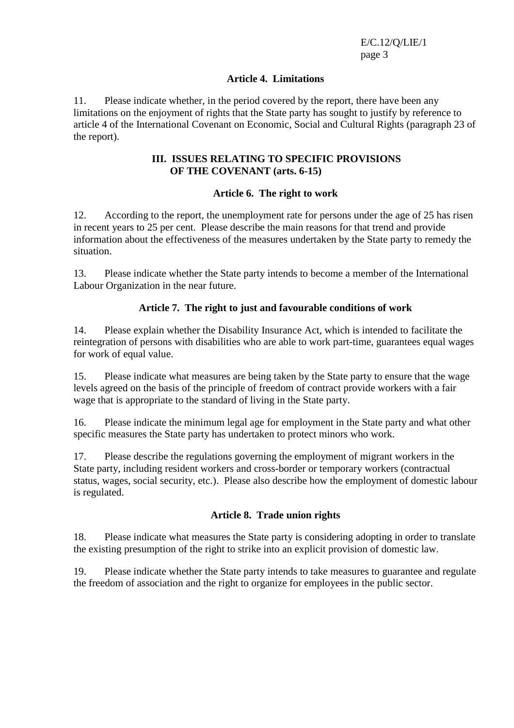E/C.12/Q/LIE/1 page 3

#### **Article 4. Limitations**

11. Please indicate whether, in the period covered by the report, there have been any limitations on the enjoyment of rights that the State party has sought to justify by reference to article 4 of the International Covenant on Economic, Social and Cultural Rights (paragraph 23 of the report).

#### **III. ISSUES RELATING TO SPECIFIC PROVISIONS OF THE COVENANT (arts. 6-15)**

#### **Article 6. The right to work**

12. According to the report, the unemployment rate for persons under the age of 25 has risen in recent years to 25 per cent. Please describe the main reasons for that trend and provide information about the effectiveness of the measures undertaken by the State party to remedy the situation.

13. Please indicate whether the State party intends to become a member of the International Labour Organization in the near future.

#### **Article 7. The right to just and favourable conditions of work**

14. Please explain whether the Disability Insurance Act, which is intended to facilitate the reintegration of persons with disabilities who are able to work part-time, guarantees equal wages for work of equal value.

15. Please indicate what measures are being taken by the State party to ensure that the wage levels agreed on the basis of the principle of freedom of contract provide workers with a fair wage that is appropriate to the standard of living in the State party.

16. Please indicate the minimum legal age for employment in the State party and what other specific measures the State party has undertaken to protect minors who work.

17. Please describe the regulations governing the employment of migrant workers in the State party, including resident workers and cross-border or temporary workers (contractual status, wages, social security, etc.). Please also describe how the employment of domestic labour is regulated.

## **Article 8. Trade union rights**

18. Please indicate what measures the State party is considering adopting in order to translate the existing presumption of the right to strike into an explicit provision of domestic law.

19. Please indicate whether the State party intends to take measures to guarantee and regulate the freedom of association and the right to organize for employees in the public sector.